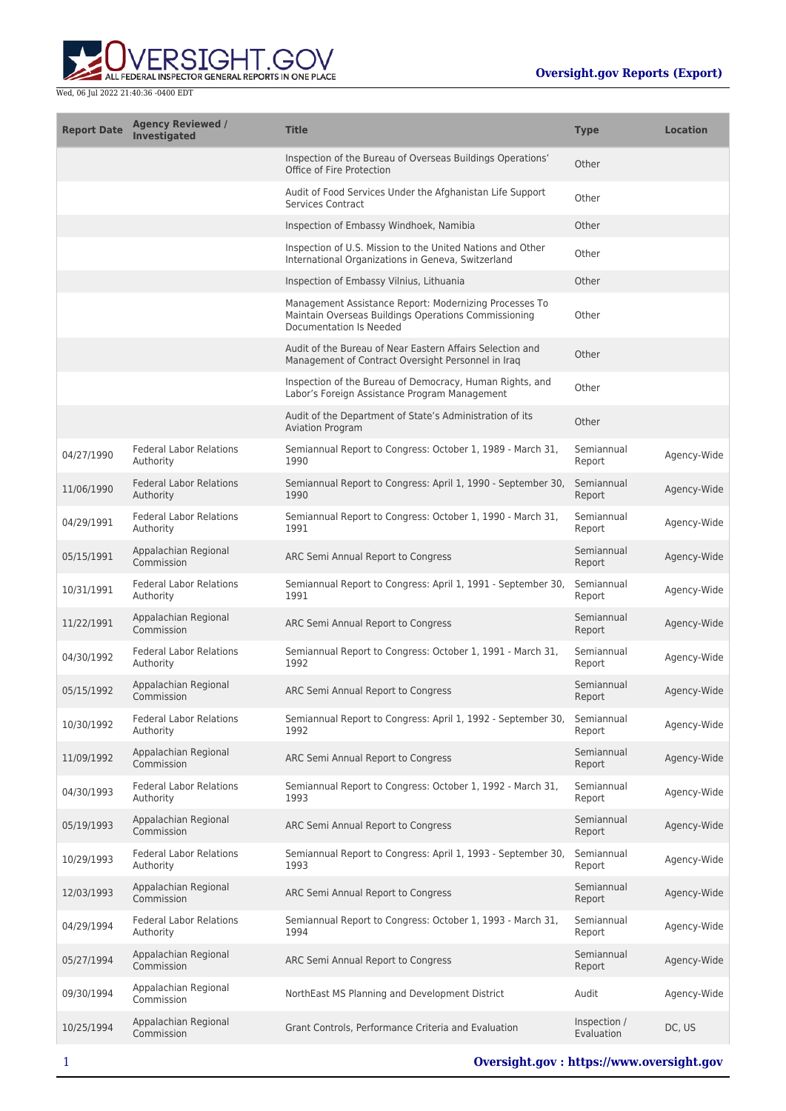

| <b>Report Date</b> | <b>Agency Reviewed /</b><br>Investigated    | <b>Title</b>                                                                                                                              | <b>Type</b>                | <b>Location</b> |
|--------------------|---------------------------------------------|-------------------------------------------------------------------------------------------------------------------------------------------|----------------------------|-----------------|
|                    |                                             | Inspection of the Bureau of Overseas Buildings Operations'<br>Office of Fire Protection                                                   | Other                      |                 |
|                    |                                             | Audit of Food Services Under the Afghanistan Life Support<br><b>Services Contract</b>                                                     | Other                      |                 |
|                    |                                             | Inspection of Embassy Windhoek, Namibia                                                                                                   | Other                      |                 |
|                    |                                             | Inspection of U.S. Mission to the United Nations and Other<br>International Organizations in Geneva, Switzerland                          | Other                      |                 |
|                    |                                             | Inspection of Embassy Vilnius, Lithuania                                                                                                  | Other                      |                 |
|                    |                                             | Management Assistance Report: Modernizing Processes To<br>Maintain Overseas Buildings Operations Commissioning<br>Documentation Is Needed | Other                      |                 |
|                    |                                             | Audit of the Bureau of Near Eastern Affairs Selection and<br>Management of Contract Oversight Personnel in Iraq                           | Other                      |                 |
|                    |                                             | Inspection of the Bureau of Democracy, Human Rights, and<br>Labor's Foreign Assistance Program Management                                 | Other                      |                 |
|                    |                                             | Audit of the Department of State's Administration of its<br><b>Aviation Program</b>                                                       | Other                      |                 |
| 04/27/1990         | <b>Federal Labor Relations</b><br>Authority | Semiannual Report to Congress: October 1, 1989 - March 31,<br>1990                                                                        | Semiannual<br>Report       | Agency-Wide     |
| 11/06/1990         | <b>Federal Labor Relations</b><br>Authority | Semiannual Report to Congress: April 1, 1990 - September 30,<br>1990                                                                      | Semiannual<br>Report       | Agency-Wide     |
| 04/29/1991         | <b>Federal Labor Relations</b><br>Authority | Semiannual Report to Congress: October 1, 1990 - March 31,<br>1991                                                                        | Semiannual<br>Report       | Agency-Wide     |
| 05/15/1991         | Appalachian Regional<br>Commission          | ARC Semi Annual Report to Congress                                                                                                        | Semiannual<br>Report       | Agency-Wide     |
| 10/31/1991         | <b>Federal Labor Relations</b><br>Authority | Semiannual Report to Congress: April 1, 1991 - September 30,<br>1991                                                                      | Semiannual<br>Report       | Agency-Wide     |
| 11/22/1991         | Appalachian Regional<br>Commission          | ARC Semi Annual Report to Congress                                                                                                        | Semiannual<br>Report       | Agency-Wide     |
| 04/30/1992         | <b>Federal Labor Relations</b><br>Authority | Semiannual Report to Congress: October 1, 1991 - March 31,<br>1992                                                                        | Semiannual<br>Report       | Agency-Wide     |
| 05/15/1992         | Appalachian Regional<br>Commission          | ARC Semi Annual Report to Congress                                                                                                        | Semiannual<br>Report       | Agency-Wide     |
| 10/30/1992         | <b>Federal Labor Relations</b><br>Authority | Semiannual Report to Congress: April 1, 1992 - September 30,<br>1992                                                                      | Semiannual<br>Report       | Agency-Wide     |
| 11/09/1992         | Appalachian Regional<br>Commission          | ARC Semi Annual Report to Congress                                                                                                        | Semiannual<br>Report       | Agency-Wide     |
| 04/30/1993         | <b>Federal Labor Relations</b><br>Authority | Semiannual Report to Congress: October 1, 1992 - March 31,<br>1993                                                                        | Semiannual<br>Report       | Agency-Wide     |
| 05/19/1993         | Appalachian Regional<br>Commission          | ARC Semi Annual Report to Congress                                                                                                        | Semiannual<br>Report       | Agency-Wide     |
| 10/29/1993         | <b>Federal Labor Relations</b><br>Authority | Semiannual Report to Congress: April 1, 1993 - September 30,<br>1993                                                                      | Semiannual<br>Report       | Agency-Wide     |
| 12/03/1993         | Appalachian Regional<br>Commission          | ARC Semi Annual Report to Congress                                                                                                        | Semiannual<br>Report       | Agency-Wide     |
| 04/29/1994         | <b>Federal Labor Relations</b><br>Authority | Semiannual Report to Congress: October 1, 1993 - March 31,<br>1994                                                                        | Semiannual<br>Report       | Agency-Wide     |
| 05/27/1994         | Appalachian Regional<br>Commission          | ARC Semi Annual Report to Congress                                                                                                        | Semiannual<br>Report       | Agency-Wide     |
| 09/30/1994         | Appalachian Regional<br>Commission          | NorthEast MS Planning and Development District                                                                                            | Audit                      | Agency-Wide     |
| 10/25/1994         | Appalachian Regional<br>Commission          | Grant Controls, Performance Criteria and Evaluation                                                                                       | Inspection /<br>Evaluation | DC, US          |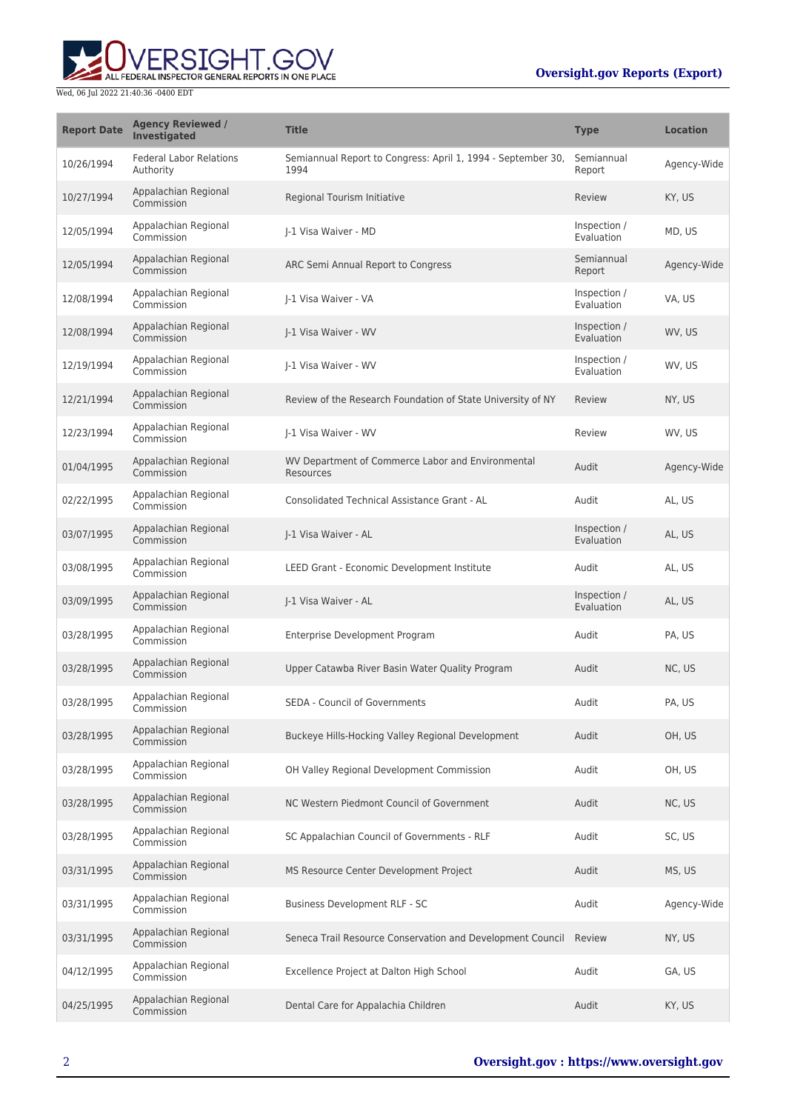## **Oversight.gov Reports (Export)**



| <b>Report Date</b> | <b>Agency Reviewed /</b><br>Investigated    | <b>Title</b>                                                         | <b>Type</b>                | <b>Location</b> |
|--------------------|---------------------------------------------|----------------------------------------------------------------------|----------------------------|-----------------|
| 10/26/1994         | <b>Federal Labor Relations</b><br>Authority | Semiannual Report to Congress: April 1, 1994 - September 30,<br>1994 | Semiannual<br>Report       | Agency-Wide     |
| 10/27/1994         | Appalachian Regional<br>Commission          | Regional Tourism Initiative                                          | Review                     | KY, US          |
| 12/05/1994         | Appalachian Regional<br>Commission          | I-1 Visa Waiver - MD                                                 | Inspection /<br>Evaluation | MD, US          |
| 12/05/1994         | Appalachian Regional<br>Commission          | ARC Semi Annual Report to Congress                                   | Semiannual<br>Report       | Agency-Wide     |
| 12/08/1994         | Appalachian Regional<br>Commission          | J-1 Visa Waiver - VA                                                 | Inspection /<br>Evaluation | VA, US          |
| 12/08/1994         | Appalachian Regional<br>Commission          | I-1 Visa Waiver - WV                                                 | Inspection /<br>Evaluation | WV, US          |
| 12/19/1994         | Appalachian Regional<br>Commission          | I-1 Visa Waiver - WV                                                 | Inspection /<br>Evaluation | WV, US          |
| 12/21/1994         | Appalachian Regional<br>Commission          | Review of the Research Foundation of State University of NY          | Review                     | NY, US          |
| 12/23/1994         | Appalachian Regional<br>Commission          | I-1 Visa Waiver - WV                                                 | Review                     | WV, US          |
| 01/04/1995         | Appalachian Regional<br>Commission          | WV Department of Commerce Labor and Environmental<br>Resources       | Audit                      | Agency-Wide     |
| 02/22/1995         | Appalachian Regional<br>Commission          | Consolidated Technical Assistance Grant - AL                         | Audit                      | AL, US          |
| 03/07/1995         | Appalachian Regional<br>Commission          | J-1 Visa Waiver - AL                                                 | Inspection /<br>Evaluation | AL, US          |
| 03/08/1995         | Appalachian Regional<br>Commission          | LEED Grant - Economic Development Institute                          | Audit                      | AL, US          |
| 03/09/1995         | Appalachian Regional<br>Commission          | J-1 Visa Waiver - AL                                                 | Inspection /<br>Evaluation | AL, US          |
| 03/28/1995         | Appalachian Regional<br>Commission          | Enterprise Development Program                                       | Audit                      | PA, US          |
| 03/28/1995         | Appalachian Regional<br>Commission          | Upper Catawba River Basin Water Quality Program                      | Audit                      | NC, US          |
| 03/28/1995         | Appalachian Regional<br>Commission          | <b>SEDA - Council of Governments</b>                                 | Audit                      | PA, US          |
| 03/28/1995         | Appalachian Regional<br>Commission          | Buckeye Hills-Hocking Valley Regional Development                    | Audit                      | OH, US          |
| 03/28/1995         | Appalachian Regional<br>Commission          | OH Valley Regional Development Commission                            | Audit                      | OH, US          |
| 03/28/1995         | Appalachian Regional<br>Commission          | NC Western Piedmont Council of Government                            | Audit                      | NC, US          |
| 03/28/1995         | Appalachian Regional<br>Commission          | SC Appalachian Council of Governments - RLF                          | Audit                      | SC, US          |
| 03/31/1995         | Appalachian Regional<br>Commission          | MS Resource Center Development Project                               | Audit                      | MS, US          |
| 03/31/1995         | Appalachian Regional<br>Commission          | Business Development RLF - SC                                        | Audit                      | Agency-Wide     |
| 03/31/1995         | Appalachian Regional<br>Commission          | Seneca Trail Resource Conservation and Development Council Review    |                            | NY, US          |
| 04/12/1995         | Appalachian Regional<br>Commission          | Excellence Project at Dalton High School                             | Audit                      | GA, US          |
| 04/25/1995         | Appalachian Regional<br>Commission          | Dental Care for Appalachia Children                                  | Audit                      | KY, US          |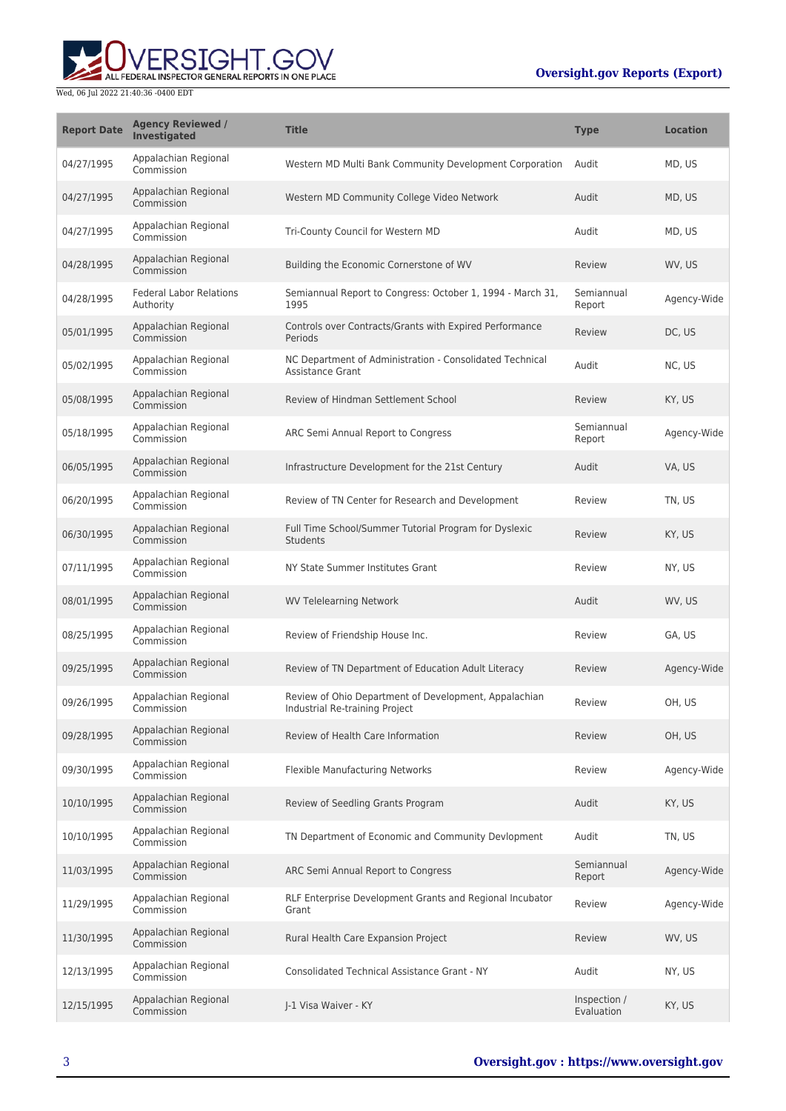## **Oversight.gov Reports (Export)**



| <b>Report Date</b> | <b>Agency Reviewed /</b><br><b>Investigated</b> | <b>Title</b>                                                                            | <b>Type</b>                | <b>Location</b> |
|--------------------|-------------------------------------------------|-----------------------------------------------------------------------------------------|----------------------------|-----------------|
| 04/27/1995         | Appalachian Regional<br>Commission              | Western MD Multi Bank Community Development Corporation                                 | Audit                      | MD, US          |
| 04/27/1995         | Appalachian Regional<br>Commission              | Western MD Community College Video Network                                              | Audit                      | MD, US          |
| 04/27/1995         | Appalachian Regional<br>Commission              | Tri-County Council for Western MD                                                       | Audit                      | MD, US          |
| 04/28/1995         | Appalachian Regional<br>Commission              | Building the Economic Cornerstone of WV                                                 | Review                     | WV, US          |
| 04/28/1995         | <b>Federal Labor Relations</b><br>Authority     | Semiannual Report to Congress: October 1, 1994 - March 31,<br>1995                      | Semiannual<br>Report       | Agency-Wide     |
| 05/01/1995         | Appalachian Regional<br>Commission              | Controls over Contracts/Grants with Expired Performance<br>Periods                      | Review                     | DC, US          |
| 05/02/1995         | Appalachian Regional<br>Commission              | NC Department of Administration - Consolidated Technical<br><b>Assistance Grant</b>     | Audit                      | NC, US          |
| 05/08/1995         | Appalachian Regional<br>Commission              | Review of Hindman Settlement School                                                     | Review                     | KY, US          |
| 05/18/1995         | Appalachian Regional<br>Commission              | ARC Semi Annual Report to Congress                                                      | Semiannual<br>Report       | Agency-Wide     |
| 06/05/1995         | Appalachian Regional<br>Commission              | Infrastructure Development for the 21st Century                                         | Audit                      | VA, US          |
| 06/20/1995         | Appalachian Regional<br>Commission              | Review of TN Center for Research and Development                                        | Review                     | TN, US          |
| 06/30/1995         | Appalachian Regional<br>Commission              | Full Time School/Summer Tutorial Program for Dyslexic<br>Students                       | Review                     | KY, US          |
| 07/11/1995         | Appalachian Regional<br>Commission              | NY State Summer Institutes Grant                                                        | Review                     | NY, US          |
| 08/01/1995         | Appalachian Regional<br>Commission              | <b>WV Telelearning Network</b>                                                          | Audit                      | WV, US          |
| 08/25/1995         | Appalachian Regional<br>Commission              | Review of Friendship House Inc.                                                         | Review                     | GA, US          |
| 09/25/1995         | Appalachian Regional<br>Commission              | Review of TN Department of Education Adult Literacy                                     | Review                     | Agency-Wide     |
| 09/26/1995         | Appalachian Regional<br>Commission              | Review of Ohio Department of Development, Appalachian<br>Industrial Re-training Project | Review                     | OH, US          |
| 09/28/1995         | Appalachian Regional<br>Commission              | Review of Health Care Information                                                       | Review                     | OH, US          |
| 09/30/1995         | Appalachian Regional<br>Commission              | Flexible Manufacturing Networks                                                         | Review                     | Agency-Wide     |
| 10/10/1995         | Appalachian Regional<br>Commission              | Review of Seedling Grants Program                                                       | Audit                      | KY, US          |
| 10/10/1995         | Appalachian Regional<br>Commission              | TN Department of Economic and Community Devlopment                                      | Audit                      | TN, US          |
| 11/03/1995         | Appalachian Regional<br>Commission              | ARC Semi Annual Report to Congress                                                      | Semiannual<br>Report       | Agency-Wide     |
| 11/29/1995         | Appalachian Regional<br>Commission              | RLF Enterprise Development Grants and Regional Incubator<br>Grant                       | Review                     | Agency-Wide     |
| 11/30/1995         | Appalachian Regional<br>Commission              | Rural Health Care Expansion Project                                                     | Review                     | WV, US          |
| 12/13/1995         | Appalachian Regional<br>Commission              | <b>Consolidated Technical Assistance Grant - NY</b>                                     | Audit                      | NY, US          |
| 12/15/1995         | Appalachian Regional<br>Commission              | J-1 Visa Waiver - KY                                                                    | Inspection /<br>Evaluation | KY, US          |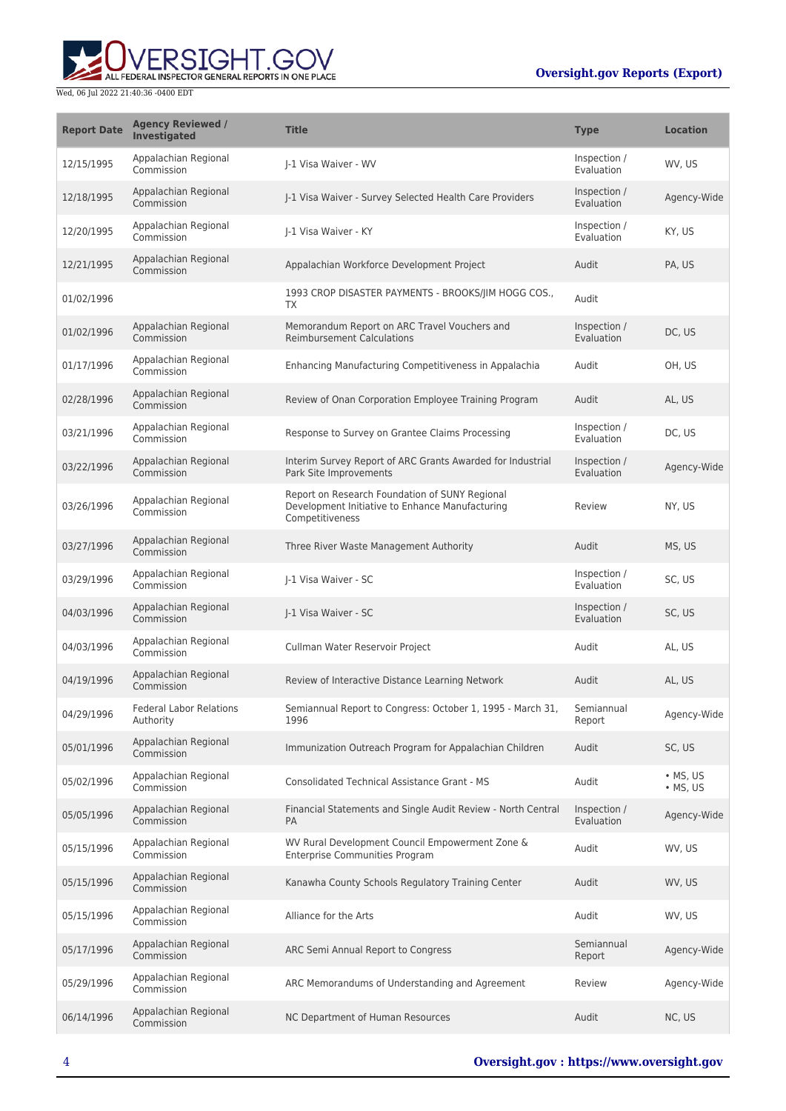# **RSIGHT.GOV** ALL FEDERAL INSPECTOR GENERAL REPORTS IN ONE PLACE

| <b>Report Date</b> | <b>Agency Reviewed /</b><br>Investigated    | <b>Title</b>                                                                                                         | <b>Type</b>                | <b>Location</b>              |
|--------------------|---------------------------------------------|----------------------------------------------------------------------------------------------------------------------|----------------------------|------------------------------|
| 12/15/1995         | Appalachian Regional<br>Commission          | I-1 Visa Waiver - WV                                                                                                 | Inspection /<br>Evaluation | WV, US                       |
| 12/18/1995         | Appalachian Regional<br>Commission          | J-1 Visa Waiver - Survey Selected Health Care Providers                                                              | Inspection /<br>Evaluation | Agency-Wide                  |
| 12/20/1995         | Appalachian Regional<br>Commission          | I-1 Visa Waiver - KY                                                                                                 | Inspection /<br>Evaluation | KY, US                       |
| 12/21/1995         | Appalachian Regional<br>Commission          | Appalachian Workforce Development Project                                                                            | Audit                      | PA, US                       |
| 01/02/1996         |                                             | 1993 CROP DISASTER PAYMENTS - BROOKS/JIM HOGG COS.,<br><b>TX</b>                                                     | Audit                      |                              |
| 01/02/1996         | Appalachian Regional<br>Commission          | Memorandum Report on ARC Travel Vouchers and<br><b>Reimbursement Calculations</b>                                    | Inspection /<br>Evaluation | DC, US                       |
| 01/17/1996         | Appalachian Regional<br>Commission          | Enhancing Manufacturing Competitiveness in Appalachia                                                                | Audit                      | OH, US                       |
| 02/28/1996         | Appalachian Regional<br>Commission          | Review of Onan Corporation Employee Training Program                                                                 | Audit                      | AL, US                       |
| 03/21/1996         | Appalachian Regional<br>Commission          | Response to Survey on Grantee Claims Processing                                                                      | Inspection /<br>Evaluation | DC, US                       |
| 03/22/1996         | Appalachian Regional<br>Commission          | Interim Survey Report of ARC Grants Awarded for Industrial<br>Park Site Improvements                                 | Inspection /<br>Evaluation | Agency-Wide                  |
| 03/26/1996         | Appalachian Regional<br>Commission          | Report on Research Foundation of SUNY Regional<br>Development Initiative to Enhance Manufacturing<br>Competitiveness | Review                     | NY, US                       |
| 03/27/1996         | Appalachian Regional<br>Commission          | Three River Waste Management Authority                                                                               | Audit                      | MS, US                       |
| 03/29/1996         | Appalachian Regional<br>Commission          | J-1 Visa Waiver - SC                                                                                                 | Inspection /<br>Evaluation | SC, US                       |
| 04/03/1996         | Appalachian Regional<br>Commission          | J-1 Visa Waiver - SC                                                                                                 | Inspection /<br>Evaluation | SC, US                       |
| 04/03/1996         | Appalachian Regional<br>Commission          | Cullman Water Reservoir Project                                                                                      | Audit                      | AL, US                       |
| 04/19/1996         | Appalachian Regional<br>Commission          | Review of Interactive Distance Learning Network                                                                      | Audit                      | AL, US                       |
| 04/29/1996         | <b>Federal Labor Relations</b><br>Authority | Semiannual Report to Congress: October 1, 1995 - March 31,<br>1996                                                   | Semiannual<br>Report       | Agency-Wide                  |
| 05/01/1996         | Appalachian Regional<br>Commission          | Immunization Outreach Program for Appalachian Children                                                               | Audit                      | SC, US                       |
| 05/02/1996         | Appalachian Regional<br>Commission          | Consolidated Technical Assistance Grant - MS                                                                         | Audit                      | • MS, US<br>$\bullet$ MS, US |
| 05/05/1996         | Appalachian Regional<br>Commission          | Financial Statements and Single Audit Review - North Central<br>PA                                                   | Inspection /<br>Evaluation | Agency-Wide                  |
| 05/15/1996         | Appalachian Regional<br>Commission          | WV Rural Development Council Empowerment Zone &<br><b>Enterprise Communities Program</b>                             | Audit                      | WV, US                       |
| 05/15/1996         | Appalachian Regional<br>Commission          | Kanawha County Schools Regulatory Training Center                                                                    | Audit                      | WV, US                       |
| 05/15/1996         | Appalachian Regional<br>Commission          | Alliance for the Arts                                                                                                | Audit                      | WV, US                       |
| 05/17/1996         | Appalachian Regional<br>Commission          | ARC Semi Annual Report to Congress                                                                                   | Semiannual<br>Report       | Agency-Wide                  |
| 05/29/1996         | Appalachian Regional<br>Commission          | ARC Memorandums of Understanding and Agreement                                                                       | Review                     | Agency-Wide                  |
| 06/14/1996         | Appalachian Regional<br>Commission          | NC Department of Human Resources                                                                                     | Audit                      | NC, US                       |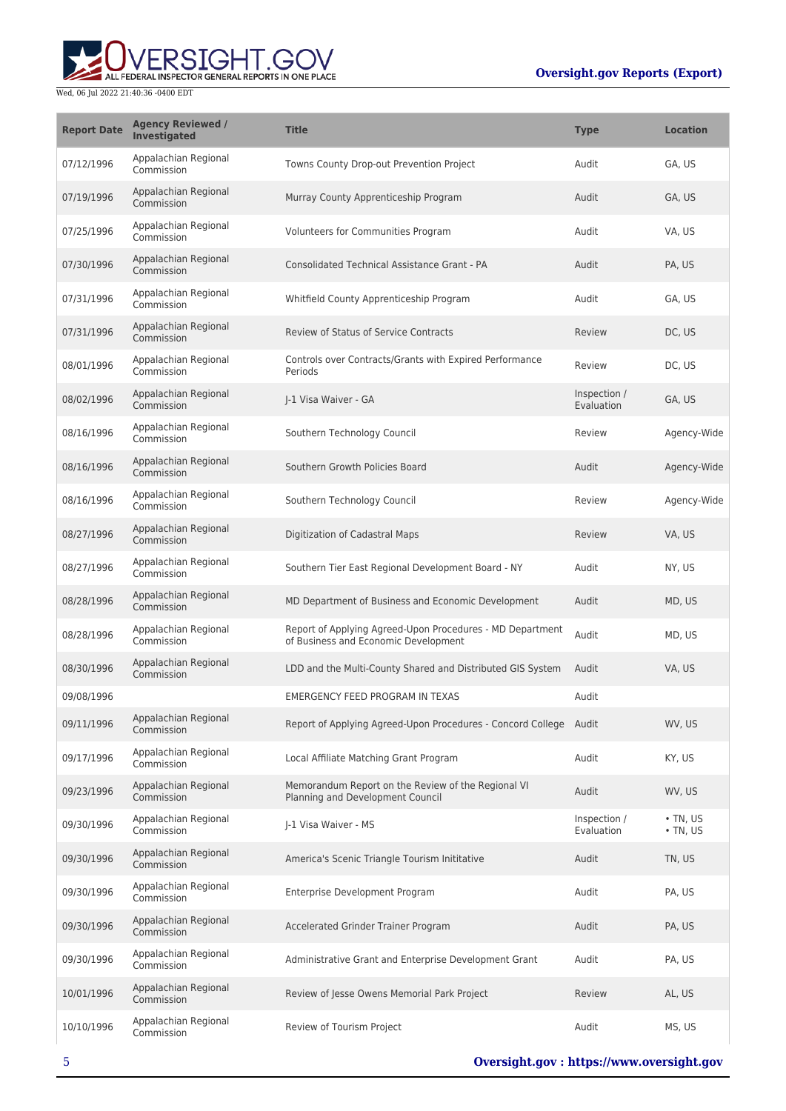

| <b>Report Date</b> | <b>Agency Reviewed /</b><br>Investigated | <b>Title</b>                                                                                      | <b>Type</b>                | <b>Location</b>                  |
|--------------------|------------------------------------------|---------------------------------------------------------------------------------------------------|----------------------------|----------------------------------|
| 07/12/1996         | Appalachian Regional<br>Commission       | Towns County Drop-out Prevention Project                                                          | Audit                      | GA, US                           |
| 07/19/1996         | Appalachian Regional<br>Commission       | Murray County Apprenticeship Program                                                              | Audit                      | GA, US                           |
| 07/25/1996         | Appalachian Regional<br>Commission       | Volunteers for Communities Program                                                                | Audit                      | VA, US                           |
| 07/30/1996         | Appalachian Regional<br>Commission       | Consolidated Technical Assistance Grant - PA                                                      | Audit                      | PA, US                           |
| 07/31/1996         | Appalachian Regional<br>Commission       | Whitfield County Apprenticeship Program                                                           | Audit                      | GA, US                           |
| 07/31/1996         | Appalachian Regional<br>Commission       | <b>Review of Status of Service Contracts</b>                                                      | Review                     | DC, US                           |
| 08/01/1996         | Appalachian Regional<br>Commission       | Controls over Contracts/Grants with Expired Performance<br>Periods                                | Review                     | DC, US                           |
| 08/02/1996         | Appalachian Regional<br>Commission       | I-1 Visa Waiver - GA                                                                              | Inspection /<br>Evaluation | GA, US                           |
| 08/16/1996         | Appalachian Regional<br>Commission       | Southern Technology Council                                                                       | Review                     | Agency-Wide                      |
| 08/16/1996         | Appalachian Regional<br>Commission       | Southern Growth Policies Board                                                                    | Audit                      | Agency-Wide                      |
| 08/16/1996         | Appalachian Regional<br>Commission       | Southern Technology Council                                                                       | Review                     | Agency-Wide                      |
| 08/27/1996         | Appalachian Regional<br>Commission       | Digitization of Cadastral Maps                                                                    | Review                     | VA, US                           |
| 08/27/1996         | Appalachian Regional<br>Commission       | Southern Tier East Regional Development Board - NY                                                | Audit                      | NY, US                           |
| 08/28/1996         | Appalachian Regional<br>Commission       | MD Department of Business and Economic Development                                                | Audit                      | MD, US                           |
| 08/28/1996         | Appalachian Regional<br>Commission       | Report of Applying Agreed-Upon Procedures - MD Department<br>of Business and Economic Development | Audit                      | MD, US                           |
| 08/30/1996         | Appalachian Regional<br>Commission       | LDD and the Multi-County Shared and Distributed GIS System                                        | Audit                      | VA, US                           |
| 09/08/1996         |                                          | EMERGENCY FEED PROGRAM IN TEXAS                                                                   | Audit                      |                                  |
| 09/11/1996         | Appalachian Regional<br>Commission       | Report of Applying Agreed-Upon Procedures - Concord College Audit                                 |                            | WV, US                           |
| 09/17/1996         | Appalachian Regional<br>Commission       | Local Affiliate Matching Grant Program                                                            | Audit                      | KY, US                           |
| 09/23/1996         | Appalachian Regional<br>Commission       | Memorandum Report on the Review of the Regional VI<br>Planning and Development Council            | Audit                      | WV, US                           |
| 09/30/1996         | Appalachian Regional<br>Commission       | I-1 Visa Waiver - MS                                                                              | Inspection /<br>Evaluation | $\cdot$ TN, US<br>$\cdot$ TN, US |
| 09/30/1996         | Appalachian Regional<br>Commission       | America's Scenic Triangle Tourism Inititative                                                     | Audit                      | TN, US                           |
| 09/30/1996         | Appalachian Regional<br>Commission       | Enterprise Development Program                                                                    | Audit                      | PA, US                           |
| 09/30/1996         | Appalachian Regional<br>Commission       | Accelerated Grinder Trainer Program                                                               | Audit                      | PA, US                           |
| 09/30/1996         | Appalachian Regional<br>Commission       | Administrative Grant and Enterprise Development Grant                                             | Audit                      | PA, US                           |
| 10/01/1996         | Appalachian Regional<br>Commission       | Review of Jesse Owens Memorial Park Project                                                       | Review                     | AL, US                           |
| 10/10/1996         | Appalachian Regional<br>Commission       | Review of Tourism Project                                                                         | Audit                      | MS, US                           |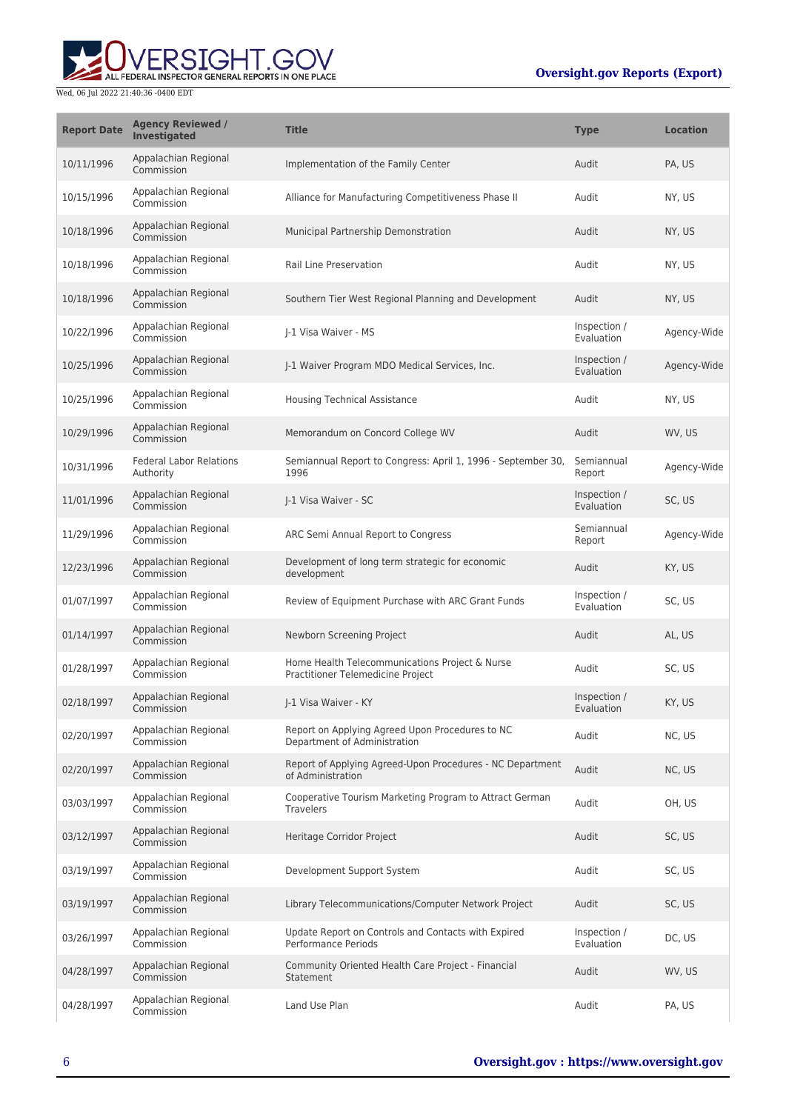

| <b>Report Date</b> | <b>Agency Reviewed /</b><br>Investigated    | <b>Title</b>                                                                        | <b>Type</b>                | <b>Location</b> |
|--------------------|---------------------------------------------|-------------------------------------------------------------------------------------|----------------------------|-----------------|
| 10/11/1996         | Appalachian Regional<br>Commission          | Implementation of the Family Center                                                 | Audit                      | PA, US          |
| 10/15/1996         | Appalachian Regional<br>Commission          | Alliance for Manufacturing Competitiveness Phase II                                 | Audit                      | NY, US          |
| 10/18/1996         | Appalachian Regional<br>Commission          | Municipal Partnership Demonstration                                                 | Audit                      | NY, US          |
| 10/18/1996         | Appalachian Regional<br>Commission          | Rail Line Preservation                                                              | Audit                      | NY, US          |
| 10/18/1996         | Appalachian Regional<br>Commission          | Southern Tier West Regional Planning and Development                                | Audit                      | NY, US          |
| 10/22/1996         | Appalachian Regional<br>Commission          | J-1 Visa Waiver - MS                                                                | Inspection /<br>Evaluation | Agency-Wide     |
| 10/25/1996         | Appalachian Regional<br>Commission          | J-1 Waiver Program MDO Medical Services, Inc.                                       | Inspection /<br>Evaluation | Agency-Wide     |
| 10/25/1996         | Appalachian Regional<br>Commission          | <b>Housing Technical Assistance</b>                                                 | Audit                      | NY, US          |
| 10/29/1996         | Appalachian Regional<br>Commission          | Memorandum on Concord College WV                                                    | Audit                      | WV, US          |
| 10/31/1996         | <b>Federal Labor Relations</b><br>Authority | Semiannual Report to Congress: April 1, 1996 - September 30,<br>1996                | Semiannual<br>Report       | Agency-Wide     |
| 11/01/1996         | Appalachian Regional<br>Commission          | J-1 Visa Waiver - SC                                                                | Inspection /<br>Evaluation | SC, US          |
| 11/29/1996         | Appalachian Regional<br>Commission          | ARC Semi Annual Report to Congress                                                  | Semiannual<br>Report       | Agency-Wide     |
| 12/23/1996         | Appalachian Regional<br>Commission          | Development of long term strategic for economic<br>development                      | Audit                      | KY, US          |
| 01/07/1997         | Appalachian Regional<br>Commission          | Review of Equipment Purchase with ARC Grant Funds                                   | Inspection /<br>Evaluation | SC, US          |
| 01/14/1997         | Appalachian Regional<br>Commission          | Newborn Screening Project                                                           | Audit                      | AL, US          |
| 01/28/1997         | Appalachian Regional<br>Commission          | Home Health Telecommunications Project & Nurse<br>Practitioner Telemedicine Project | Audit                      | SC, US          |
| 02/18/1997         | Appalachian Regional<br>Commission          | J-1 Visa Waiver - KY                                                                | Inspection /<br>Evaluation | KY, US          |
| 02/20/1997         | Appalachian Regional<br>Commission          | Report on Applying Agreed Upon Procedures to NC<br>Department of Administration     | Audit                      | NC, US          |
| 02/20/1997         | Appalachian Regional<br>Commission          | Report of Applying Agreed-Upon Procedures - NC Department<br>of Administration      | Audit                      | NC, US          |
| 03/03/1997         | Appalachian Regional<br>Commission          | Cooperative Tourism Marketing Program to Attract German<br><b>Travelers</b>         | Audit                      | OH, US          |
| 03/12/1997         | Appalachian Regional<br>Commission          | Heritage Corridor Project                                                           | Audit                      | SC, US          |
| 03/19/1997         | Appalachian Regional<br>Commission          | Development Support System                                                          | Audit                      | SC, US          |
| 03/19/1997         | Appalachian Regional<br>Commission          | Library Telecommunications/Computer Network Project                                 | Audit                      | SC, US          |
| 03/26/1997         | Appalachian Regional<br>Commission          | Update Report on Controls and Contacts with Expired<br>Performance Periods          | Inspection /<br>Evaluation | DC, US          |
| 04/28/1997         | Appalachian Regional<br>Commission          | Community Oriented Health Care Project - Financial<br>Statement                     | Audit                      | WV, US          |
| 04/28/1997         | Appalachian Regional<br>Commission          | Land Use Plan                                                                       | Audit                      | PA, US          |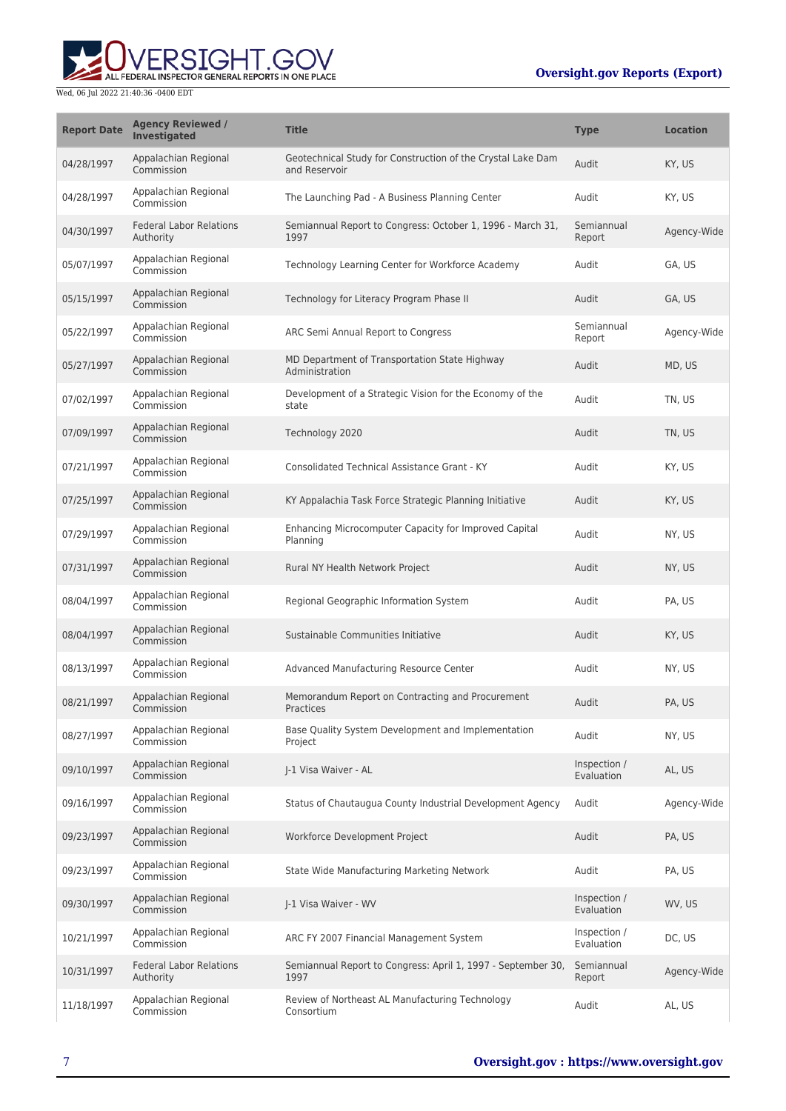# ALL FEDERAL INSPECTOR GENERAL REPORTS IN ONE PLACE Wed, 06 Jul 2022 21:40:36 -0400 EDT

| <b>Report Date</b> | <b>Agency Reviewed /</b><br><b>Investigated</b> | <b>Title</b>                                                                 | <b>Type</b>                | <b>Location</b> |
|--------------------|-------------------------------------------------|------------------------------------------------------------------------------|----------------------------|-----------------|
| 04/28/1997         | Appalachian Regional<br>Commission              | Geotechnical Study for Construction of the Crystal Lake Dam<br>and Reservoir | Audit                      | KY, US          |
| 04/28/1997         | Appalachian Regional<br>Commission              | The Launching Pad - A Business Planning Center                               | Audit                      | KY, US          |
| 04/30/1997         | <b>Federal Labor Relations</b><br>Authority     | Semiannual Report to Congress: October 1, 1996 - March 31,<br>1997           | Semiannual<br>Report       | Agency-Wide     |
| 05/07/1997         | Appalachian Regional<br>Commission              | Technology Learning Center for Workforce Academy                             | Audit                      | GA, US          |
| 05/15/1997         | Appalachian Regional<br>Commission              | Technology for Literacy Program Phase II                                     | Audit                      | GA, US          |
| 05/22/1997         | Appalachian Regional<br>Commission              | ARC Semi Annual Report to Congress                                           | Semiannual<br>Report       | Agency-Wide     |
| 05/27/1997         | Appalachian Regional<br>Commission              | MD Department of Transportation State Highway<br>Administration              | Audit                      | MD, US          |
| 07/02/1997         | Appalachian Regional<br>Commission              | Development of a Strategic Vision for the Economy of the<br>state            | Audit                      | TN, US          |
| 07/09/1997         | Appalachian Regional<br>Commission              | Technology 2020                                                              | Audit                      | TN, US          |
| 07/21/1997         | Appalachian Regional<br>Commission              | <b>Consolidated Technical Assistance Grant - KY</b>                          | Audit                      | KY, US          |
| 07/25/1997         | Appalachian Regional<br>Commission              | KY Appalachia Task Force Strategic Planning Initiative                       | Audit                      | KY, US          |
| 07/29/1997         | Appalachian Regional<br>Commission              | Enhancing Microcomputer Capacity for Improved Capital<br>Planning            | Audit                      | NY, US          |
| 07/31/1997         | Appalachian Regional<br>Commission              | Rural NY Health Network Project                                              | Audit                      | NY, US          |
| 08/04/1997         | Appalachian Regional<br>Commission              | Regional Geographic Information System                                       | Audit                      | PA, US          |
| 08/04/1997         | Appalachian Regional<br>Commission              | Sustainable Communities Initiative                                           | Audit                      | KY, US          |
| 08/13/1997         | Appalachian Regional<br>Commission              | Advanced Manufacturing Resource Center                                       | Audit                      | NY, US          |
| 08/21/1997         | Appalachian Regional<br>Commission              | Memorandum Report on Contracting and Procurement<br>Practices                | Audit                      | PA, US          |
| 08/27/1997         | Appalachian Regional<br>Commission              | Base Quality System Development and Implementation<br>Project                | Audit                      | NY, US          |
| 09/10/1997         | Appalachian Regional<br>Commission              | J-1 Visa Waiver - AL                                                         | Inspection /<br>Evaluation | AL, US          |
| 09/16/1997         | Appalachian Regional<br>Commission              | Status of Chautaugua County Industrial Development Agency                    | Audit                      | Agency-Wide     |
| 09/23/1997         | Appalachian Regional<br>Commission              | Workforce Development Project                                                | Audit                      | PA, US          |
| 09/23/1997         | Appalachian Regional<br>Commission              | State Wide Manufacturing Marketing Network                                   | Audit                      | PA, US          |
| 09/30/1997         | Appalachian Regional<br>Commission              | J-1 Visa Waiver - WV                                                         | Inspection /<br>Evaluation | WV, US          |
| 10/21/1997         | Appalachian Regional<br>Commission              | ARC FY 2007 Financial Management System                                      | Inspection /<br>Evaluation | DC, US          |
| 10/31/1997         | <b>Federal Labor Relations</b><br>Authority     | Semiannual Report to Congress: April 1, 1997 - September 30,<br>1997         | Semiannual<br>Report       | Agency-Wide     |
| 11/18/1997         | Appalachian Regional<br>Commission              | Review of Northeast AL Manufacturing Technology<br>Consortium                | Audit                      | AL, US          |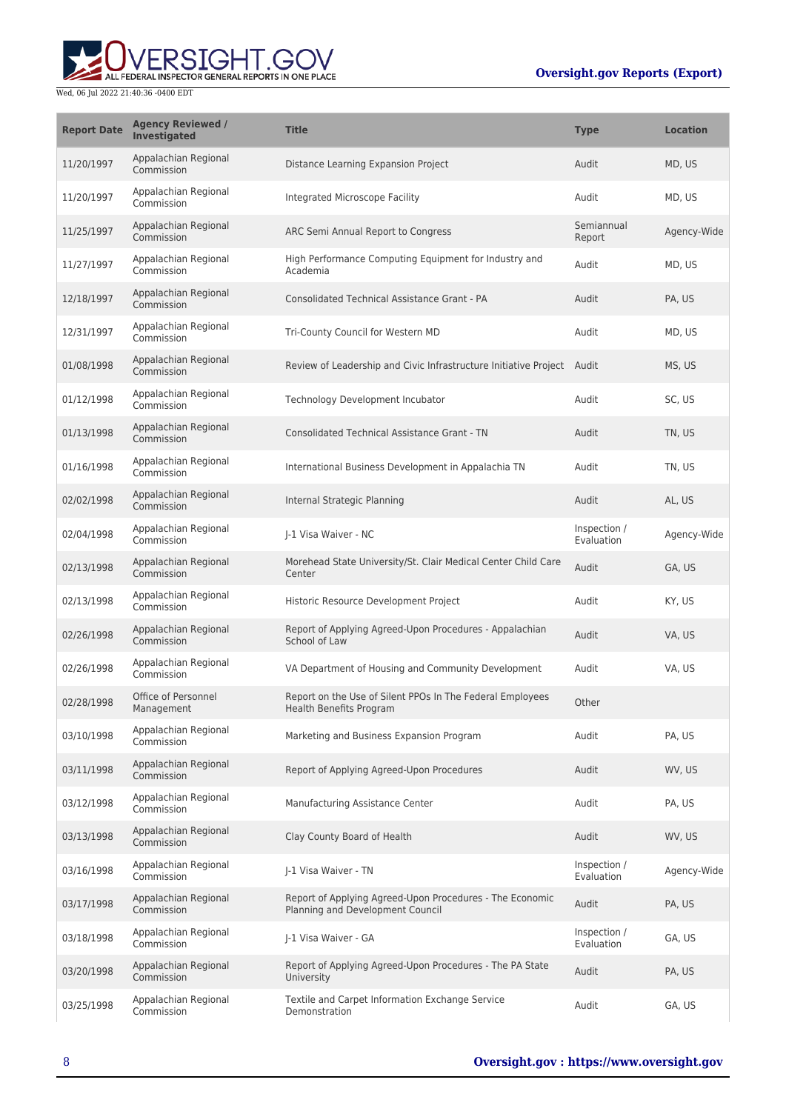

| <b>Report Date</b> | <b>Agency Reviewed /</b><br><b>Investigated</b> | <b>Title</b>                                                                                 | <b>Type</b>                | <b>Location</b> |
|--------------------|-------------------------------------------------|----------------------------------------------------------------------------------------------|----------------------------|-----------------|
| 11/20/1997         | Appalachian Regional<br>Commission              | Distance Learning Expansion Project                                                          | Audit                      | MD, US          |
| 11/20/1997         | Appalachian Regional<br>Commission              | Integrated Microscope Facility                                                               | Audit                      | MD, US          |
| 11/25/1997         | Appalachian Regional<br>Commission              | ARC Semi Annual Report to Congress                                                           | Semiannual<br>Report       | Agency-Wide     |
| 11/27/1997         | Appalachian Regional<br>Commission              | High Performance Computing Equipment for Industry and<br>Academia                            | Audit                      | MD, US          |
| 12/18/1997         | Appalachian Regional<br>Commission              | <b>Consolidated Technical Assistance Grant - PA</b>                                          | Audit                      | PA, US          |
| 12/31/1997         | Appalachian Regional<br>Commission              | Tri-County Council for Western MD                                                            | Audit                      | MD, US          |
| 01/08/1998         | Appalachian Regional<br>Commission              | Review of Leadership and Civic Infrastructure Initiative Project Audit                       |                            | MS, US          |
| 01/12/1998         | Appalachian Regional<br>Commission              | Technology Development Incubator                                                             | Audit                      | SC, US          |
| 01/13/1998         | Appalachian Regional<br>Commission              | <b>Consolidated Technical Assistance Grant - TN</b>                                          | Audit                      | TN, US          |
| 01/16/1998         | Appalachian Regional<br>Commission              | International Business Development in Appalachia TN                                          | Audit                      | TN, US          |
| 02/02/1998         | Appalachian Regional<br>Commission              | Internal Strategic Planning                                                                  | Audit                      | AL, US          |
| 02/04/1998         | Appalachian Regional<br>Commission              | J-1 Visa Waiver - NC                                                                         | Inspection /<br>Evaluation | Agency-Wide     |
| 02/13/1998         | Appalachian Regional<br>Commission              | Morehead State University/St. Clair Medical Center Child Care<br>Center                      | Audit                      | GA, US          |
| 02/13/1998         | Appalachian Regional<br>Commission              | Historic Resource Development Project                                                        | Audit                      | KY, US          |
| 02/26/1998         | Appalachian Regional<br>Commission              | Report of Applying Agreed-Upon Procedures - Appalachian<br>School of Law                     | Audit                      | VA, US          |
| 02/26/1998         | Appalachian Regional<br>Commission              | VA Department of Housing and Community Development                                           | Audit                      | VA, US          |
| 02/28/1998         | Office of Personnel<br>Management               | Report on the Use of Silent PPOs In The Federal Employees<br><b>Health Benefits Program</b>  | Other                      |                 |
| 03/10/1998         | Appalachian Regional<br>Commission              | Marketing and Business Expansion Program                                                     | Audit                      | PA, US          |
| 03/11/1998         | Appalachian Regional<br>Commission              | Report of Applying Agreed-Upon Procedures                                                    | Audit                      | WV, US          |
| 03/12/1998         | Appalachian Regional<br>Commission              | Manufacturing Assistance Center                                                              | Audit                      | PA, US          |
| 03/13/1998         | Appalachian Regional<br>Commission              | Clay County Board of Health                                                                  | Audit                      | WV, US          |
| 03/16/1998         | Appalachian Regional<br>Commission              | I-1 Visa Waiver - TN                                                                         | Inspection /<br>Evaluation | Agency-Wide     |
| 03/17/1998         | Appalachian Regional<br>Commission              | Report of Applying Agreed-Upon Procedures - The Economic<br>Planning and Development Council | Audit                      | PA, US          |
| 03/18/1998         | Appalachian Regional<br>Commission              | J-1 Visa Waiver - GA                                                                         | Inspection /<br>Evaluation | GA, US          |
| 03/20/1998         | Appalachian Regional<br>Commission              | Report of Applying Agreed-Upon Procedures - The PA State<br>University                       | Audit                      | PA, US          |
| 03/25/1998         | Appalachian Regional<br>Commission              | Textile and Carpet Information Exchange Service<br>Demonstration                             | Audit                      | GA, US          |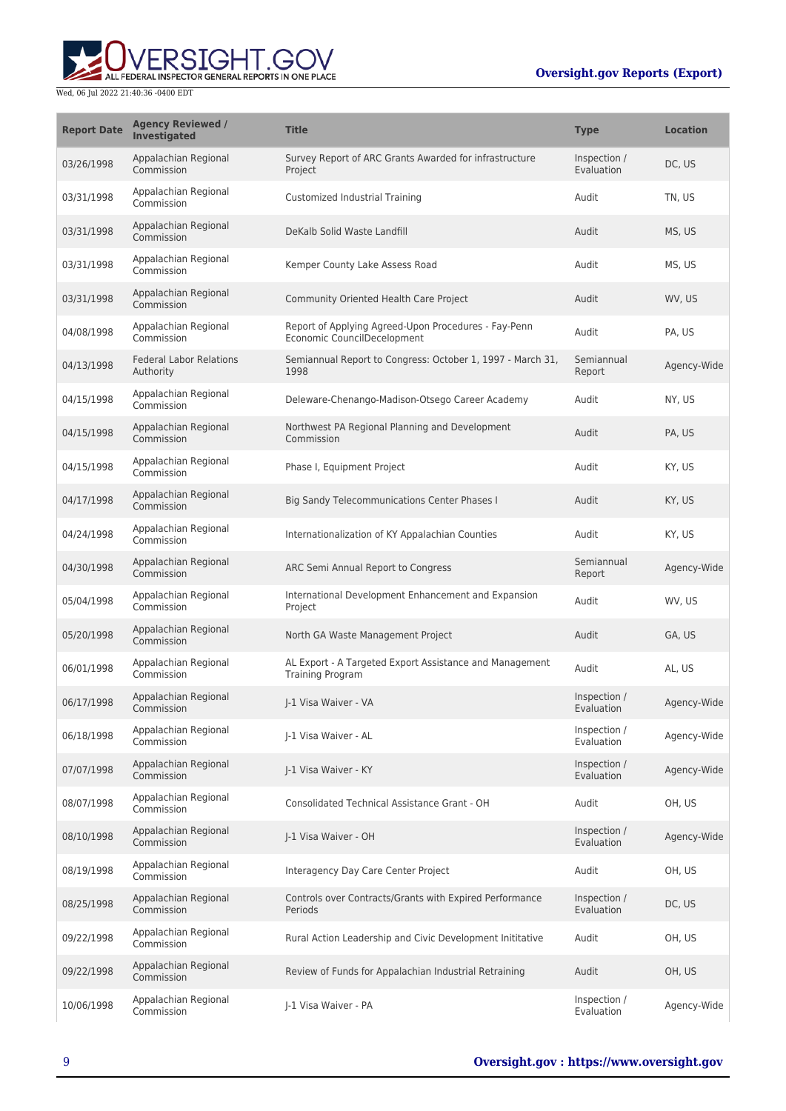

| <b>Report Date</b> | <b>Agency Reviewed /</b><br><b>Investigated</b> | <b>Title</b>                                                                        | <b>Type</b>                | <b>Location</b> |
|--------------------|-------------------------------------------------|-------------------------------------------------------------------------------------|----------------------------|-----------------|
| 03/26/1998         | Appalachian Regional<br>Commission              | Survey Report of ARC Grants Awarded for infrastructure<br>Project                   | Inspection /<br>Evaluation | DC, US          |
| 03/31/1998         | Appalachian Regional<br>Commission              | Customized Industrial Training                                                      | Audit                      | TN, US          |
| 03/31/1998         | Appalachian Regional<br>Commission              | DeKalb Solid Waste Landfill                                                         | Audit                      | MS, US          |
| 03/31/1998         | Appalachian Regional<br>Commission              | Kemper County Lake Assess Road                                                      | Audit                      | MS, US          |
| 03/31/1998         | Appalachian Regional<br>Commission              | Community Oriented Health Care Project                                              | Audit                      | WV, US          |
| 04/08/1998         | Appalachian Regional<br>Commission              | Report of Applying Agreed-Upon Procedures - Fay-Penn<br>Economic CouncilDecelopment | Audit                      | PA, US          |
| 04/13/1998         | <b>Federal Labor Relations</b><br>Authority     | Semiannual Report to Congress: October 1, 1997 - March 31,<br>1998                  | Semiannual<br>Report       | Agency-Wide     |
| 04/15/1998         | Appalachian Regional<br>Commission              | Deleware-Chenango-Madison-Otsego Career Academy                                     | Audit                      | NY, US          |
| 04/15/1998         | Appalachian Regional<br>Commission              | Northwest PA Regional Planning and Development<br>Commission                        | Audit                      | PA, US          |
| 04/15/1998         | Appalachian Regional<br>Commission              | Phase I, Equipment Project                                                          | Audit                      | KY, US          |
| 04/17/1998         | Appalachian Regional<br>Commission              | Big Sandy Telecommunications Center Phases I                                        | Audit                      | KY, US          |
| 04/24/1998         | Appalachian Regional<br>Commission              | Internationalization of KY Appalachian Counties                                     | Audit                      | KY, US          |
| 04/30/1998         | Appalachian Regional<br>Commission              | ARC Semi Annual Report to Congress                                                  | Semiannual<br>Report       | Agency-Wide     |
| 05/04/1998         | Appalachian Regional<br>Commission              | International Development Enhancement and Expansion<br>Project                      | Audit                      | WV, US          |
| 05/20/1998         | Appalachian Regional<br>Commission              | North GA Waste Management Project                                                   | Audit                      | GA, US          |
| 06/01/1998         | Appalachian Regional<br>Commission              | AL Export - A Targeted Export Assistance and Management<br><b>Training Program</b>  | Audit                      | AL, US          |
| 06/17/1998         | Appalachian Regional<br>Commission              | I-1 Visa Waiver - VA                                                                | Inspection /<br>Evaluation | Agency-Wide     |
| 06/18/1998         | Appalachian Regional<br>Commission              | J-1 Visa Waiver - AL                                                                | Inspection /<br>Evaluation | Agency-Wide     |
| 07/07/1998         | Appalachian Regional<br>Commission              | I-1 Visa Waiver - KY                                                                | Inspection /<br>Evaluation | Agency-Wide     |
| 08/07/1998         | Appalachian Regional<br>Commission              | Consolidated Technical Assistance Grant - OH                                        | Audit                      | OH, US          |
| 08/10/1998         | Appalachian Regional<br>Commission              | J-1 Visa Waiver - OH                                                                | Inspection /<br>Evaluation | Agency-Wide     |
| 08/19/1998         | Appalachian Regional<br>Commission              | Interagency Day Care Center Project                                                 | Audit                      | OH, US          |
| 08/25/1998         | Appalachian Regional<br>Commission              | Controls over Contracts/Grants with Expired Performance<br>Periods                  | Inspection /<br>Evaluation | DC, US          |
| 09/22/1998         | Appalachian Regional<br>Commission              | Rural Action Leadership and Civic Development Inititative                           | Audit                      | OH, US          |
| 09/22/1998         | Appalachian Regional<br>Commission              | Review of Funds for Appalachian Industrial Retraining                               | Audit                      | OH, US          |
| 10/06/1998         | Appalachian Regional<br>Commission              | J-1 Visa Waiver - PA                                                                | Inspection /<br>Evaluation | Agency-Wide     |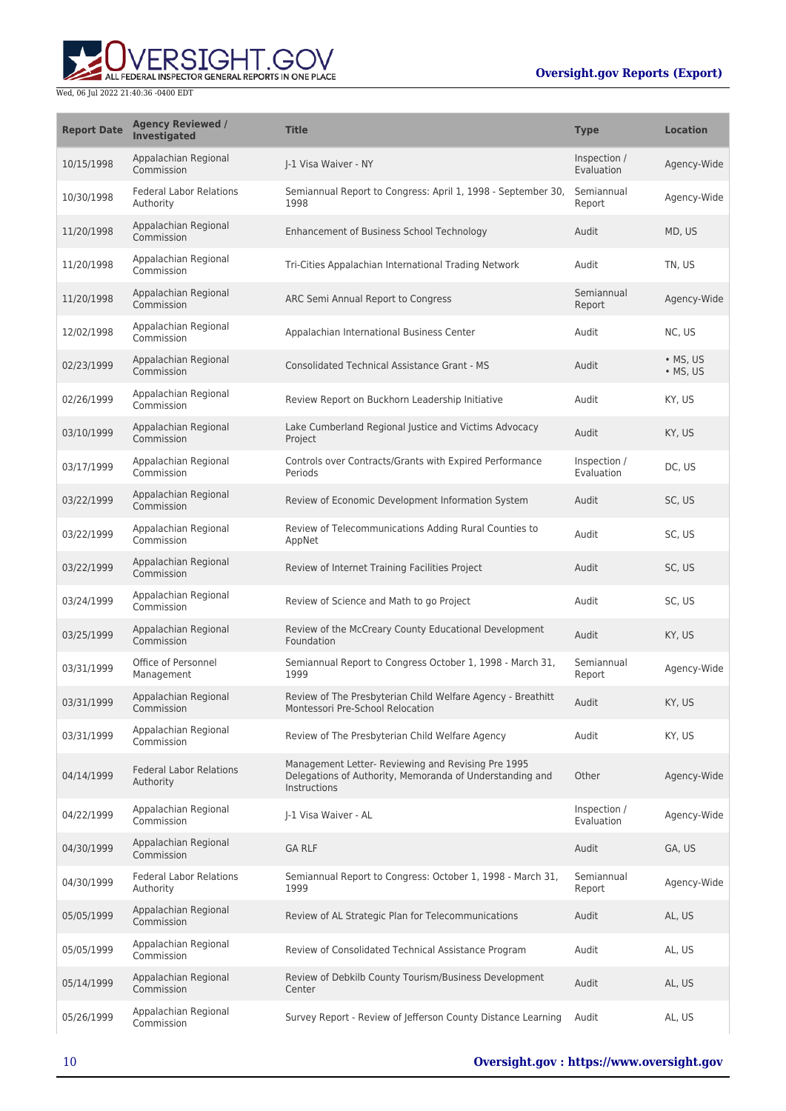# ERSIGHT.GOV ALL FEDERAL INSPECTOR GENERAL REPORTS IN ONE PLACE

| <b>Report Date</b> | <b>Agency Reviewed /</b><br><b>Investigated</b> | <b>Title</b>                                                                                                                   | <b>Type</b>                | <b>Location</b>                      |
|--------------------|-------------------------------------------------|--------------------------------------------------------------------------------------------------------------------------------|----------------------------|--------------------------------------|
| 10/15/1998         | Appalachian Regional<br>Commission              | I-1 Visa Waiver - NY                                                                                                           | Inspection /<br>Evaluation | Agency-Wide                          |
| 10/30/1998         | <b>Federal Labor Relations</b><br>Authority     | Semiannual Report to Congress: April 1, 1998 - September 30,<br>1998                                                           | Semiannual<br>Report       | Agency-Wide                          |
| 11/20/1998         | Appalachian Regional<br>Commission              | Enhancement of Business School Technology                                                                                      | Audit                      | MD, US                               |
| 11/20/1998         | Appalachian Regional<br>Commission              | Tri-Cities Appalachian International Trading Network                                                                           | Audit                      | TN, US                               |
| 11/20/1998         | Appalachian Regional<br>Commission              | ARC Semi Annual Report to Congress                                                                                             | Semiannual<br>Report       | Agency-Wide                          |
| 12/02/1998         | Appalachian Regional<br>Commission              | Appalachian International Business Center                                                                                      | Audit                      | NC, US                               |
| 02/23/1999         | Appalachian Regional<br>Commission              | <b>Consolidated Technical Assistance Grant - MS</b>                                                                            | Audit                      | $\bullet$ MS, US<br>$\bullet$ MS, US |
| 02/26/1999         | Appalachian Regional<br>Commission              | Review Report on Buckhorn Leadership Initiative                                                                                | Audit                      | KY, US                               |
| 03/10/1999         | Appalachian Regional<br>Commission              | Lake Cumberland Regional Justice and Victims Advocacy<br>Project                                                               | Audit                      | KY, US                               |
| 03/17/1999         | Appalachian Regional<br>Commission              | Controls over Contracts/Grants with Expired Performance<br>Periods                                                             | Inspection /<br>Evaluation | DC, US                               |
| 03/22/1999         | Appalachian Regional<br>Commission              | Review of Economic Development Information System                                                                              | Audit                      | SC, US                               |
| 03/22/1999         | Appalachian Regional<br>Commission              | Review of Telecommunications Adding Rural Counties to<br>AppNet                                                                | Audit                      | SC, US                               |
| 03/22/1999         | Appalachian Regional<br>Commission              | Review of Internet Training Facilities Project                                                                                 | Audit                      | SC, US                               |
| 03/24/1999         | Appalachian Regional<br>Commission              | Review of Science and Math to go Project                                                                                       | Audit                      | SC, US                               |
| 03/25/1999         | Appalachian Regional<br>Commission              | Review of the McCreary County Educational Development<br>Foundation                                                            | Audit                      | KY, US                               |
| 03/31/1999         | Office of Personnel<br>Management               | Semiannual Report to Congress October 1, 1998 - March 31,<br>1999                                                              | Semiannual<br>Report       | Agency-Wide                          |
| 03/31/1999         | Appalachian Regional<br>Commission              | Review of The Presbyterian Child Welfare Agency - Breathitt<br>Montessori Pre-School Relocation                                | Audit                      | KY, US                               |
| 03/31/1999         | Appalachian Regional<br>Commission              | Review of The Presbyterian Child Welfare Agency                                                                                | Audit                      | KY, US                               |
| 04/14/1999         | <b>Federal Labor Relations</b><br>Authority     | Management Letter- Reviewing and Revising Pre 1995<br>Delegations of Authority, Memoranda of Understanding and<br>Instructions | Other                      | Agency-Wide                          |
| 04/22/1999         | Appalachian Regional<br>Commission              | J-1 Visa Waiver - AL                                                                                                           | Inspection /<br>Evaluation | Agency-Wide                          |
| 04/30/1999         | Appalachian Regional<br>Commission              | <b>GA RLF</b>                                                                                                                  | Audit                      | GA, US                               |
| 04/30/1999         | <b>Federal Labor Relations</b><br>Authority     | Semiannual Report to Congress: October 1, 1998 - March 31,<br>1999                                                             | Semiannual<br>Report       | Agency-Wide                          |
| 05/05/1999         | Appalachian Regional<br>Commission              | Review of AL Strategic Plan for Telecommunications                                                                             | Audit                      | AL, US                               |
| 05/05/1999         | Appalachian Regional<br>Commission              | Review of Consolidated Technical Assistance Program                                                                            | Audit                      | AL, US                               |
| 05/14/1999         | Appalachian Regional<br>Commission              | Review of Debkilb County Tourism/Business Development<br>Center                                                                | Audit                      | AL, US                               |
| 05/26/1999         | Appalachian Regional<br>Commission              | Survey Report - Review of Jefferson County Distance Learning                                                                   | Audit                      | AL, US                               |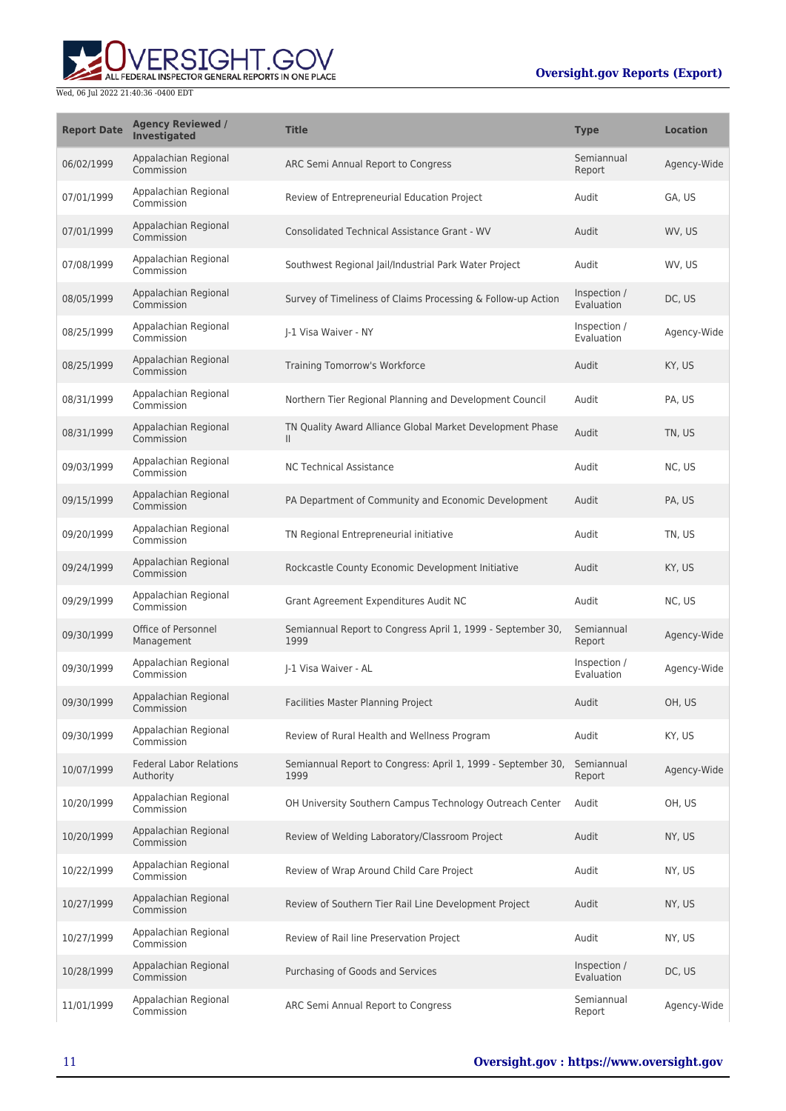

| <b>Report Date</b> | <b>Agency Reviewed /</b><br><b>Investigated</b> | <b>Title</b>                                                              | <b>Type</b>                | <b>Location</b> |
|--------------------|-------------------------------------------------|---------------------------------------------------------------------------|----------------------------|-----------------|
| 06/02/1999         | Appalachian Regional<br>Commission              | ARC Semi Annual Report to Congress                                        | Semiannual<br>Report       | Agency-Wide     |
| 07/01/1999         | Appalachian Regional<br>Commission              | Review of Entrepreneurial Education Project                               | Audit                      | GA, US          |
| 07/01/1999         | Appalachian Regional<br>Commission              | <b>Consolidated Technical Assistance Grant - WV</b>                       | Audit                      | WV, US          |
| 07/08/1999         | Appalachian Regional<br>Commission              | Southwest Regional Jail/Industrial Park Water Project                     | Audit                      | WV, US          |
| 08/05/1999         | Appalachian Regional<br>Commission              | Survey of Timeliness of Claims Processing & Follow-up Action              | Inspection /<br>Evaluation | DC, US          |
| 08/25/1999         | Appalachian Regional<br>Commission              | J-1 Visa Waiver - NY                                                      | Inspection /<br>Evaluation | Agency-Wide     |
| 08/25/1999         | Appalachian Regional<br>Commission              | Training Tomorrow's Workforce                                             | Audit                      | KY, US          |
| 08/31/1999         | Appalachian Regional<br>Commission              | Northern Tier Regional Planning and Development Council                   | Audit                      | PA, US          |
| 08/31/1999         | Appalachian Regional<br>Commission              | TN Quality Award Alliance Global Market Development Phase<br>$\mathbf{H}$ | Audit                      | TN, US          |
| 09/03/1999         | Appalachian Regional<br>Commission              | <b>NC Technical Assistance</b>                                            | Audit                      | NC, US          |
| 09/15/1999         | Appalachian Regional<br>Commission              | PA Department of Community and Economic Development                       | Audit                      | PA, US          |
| 09/20/1999         | Appalachian Regional<br>Commission              | TN Regional Entrepreneurial initiative                                    | Audit                      | TN, US          |
| 09/24/1999         | Appalachian Regional<br>Commission              | Rockcastle County Economic Development Initiative                         | Audit                      | KY, US          |
| 09/29/1999         | Appalachian Regional<br>Commission              | Grant Agreement Expenditures Audit NC                                     | Audit                      | NC, US          |
| 09/30/1999         | Office of Personnel<br>Management               | Semiannual Report to Congress April 1, 1999 - September 30,<br>1999       | Semiannual<br>Report       | Agency-Wide     |
| 09/30/1999         | Appalachian Regional<br>Commission              | J-1 Visa Waiver - AL                                                      | Inspection /<br>Evaluation | Agency-Wide     |
| 09/30/1999         | Appalachian Regional<br>Commission              | Facilities Master Planning Project                                        | Audit                      | OH, US          |
| 09/30/1999         | Appalachian Regional<br>Commission              | Review of Rural Health and Wellness Program                               | Audit                      | KY, US          |
| 10/07/1999         | <b>Federal Labor Relations</b><br>Authority     | Semiannual Report to Congress: April 1, 1999 - September 30,<br>1999      | Semiannual<br>Report       | Agency-Wide     |
| 10/20/1999         | Appalachian Regional<br>Commission              | OH University Southern Campus Technology Outreach Center                  | Audit                      | OH, US          |
| 10/20/1999         | Appalachian Regional<br>Commission              | Review of Welding Laboratory/Classroom Project                            | Audit                      | NY, US          |
| 10/22/1999         | Appalachian Regional<br>Commission              | Review of Wrap Around Child Care Project                                  | Audit                      | NY, US          |
| 10/27/1999         | Appalachian Regional<br>Commission              | Review of Southern Tier Rail Line Development Project                     | Audit                      | NY, US          |
| 10/27/1999         | Appalachian Regional<br>Commission              | Review of Rail line Preservation Project                                  | Audit                      | NY, US          |
| 10/28/1999         | Appalachian Regional<br>Commission              | Purchasing of Goods and Services                                          | Inspection /<br>Evaluation | DC, US          |
| 11/01/1999         | Appalachian Regional<br>Commission              | ARC Semi Annual Report to Congress                                        | Semiannual<br>Report       | Agency-Wide     |